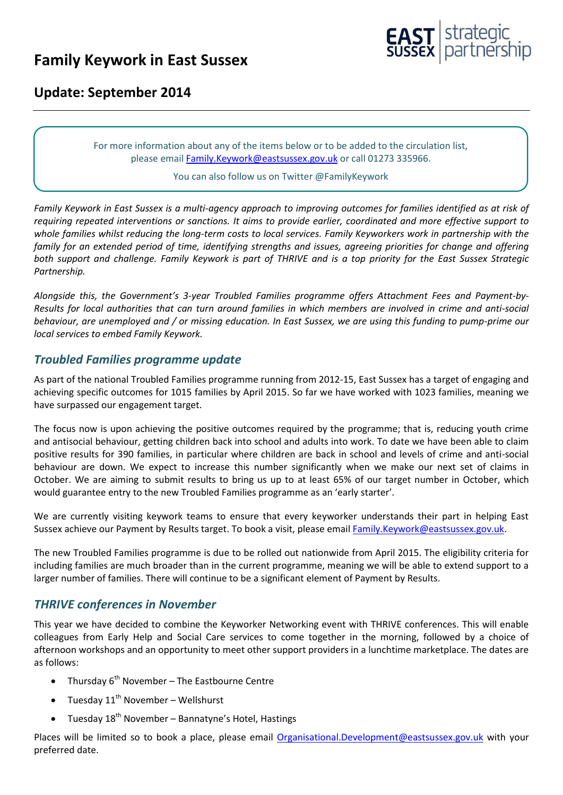# **Family Keywork in East Sussex**



## **Update: September 2014**

For more information about any of the items below or to be added to the circulation list, please emai[l Family.Keywork@eastsussex.gov.uk](mailto:Family.Keywork@eastsussex.gov.uk) or call 01273 335966.

#### You can also follow us on Twitter @FamilyKeywork

*Family Keywork in East Sussex is a multi-agency approach to improving outcomes for families identified as at risk of requiring repeated interventions or sanctions. It aims to provide earlier, coordinated and more effective support to whole families whilst reducing the long-term costs to local services. Family Keyworkers work in partnership with the family for an extended period of time, identifying strengths and issues, agreeing priorities for change and offering both support and challenge. Family Keywork is part of THRIVE and is a top priority for the East Sussex Strategic Partnership.*

*Alongside this, the Government's 3-year Troubled Families programme offers Attachment Fees and Payment-by-Results for local authorities that can turn around families in which members are involved in crime and anti-social behaviour, are unemployed and / or missing education. In East Sussex, we are using this funding to pump-prime our local services to embed Family Keywork.*

#### *Troubled Families programme update*

As part of the national Troubled Families programme running from 2012-15, East Sussex has a target of engaging and achieving specific outcomes for 1015 families by April 2015. So far we have worked with 1023 families, meaning we have surpassed our engagement target.

The focus now is upon achieving the positive outcomes required by the programme; that is, reducing youth crime and antisocial behaviour, getting children back into school and adults into work. To date we have been able to claim positive results for 390 families, in particular where children are back in school and levels of crime and anti-social behaviour are down. We expect to increase this number significantly when we make our next set of claims in October. We are aiming to submit results to bring us up to at least 65% of our target number in October, which would guarantee entry to the new Troubled Families programme as an 'early starter'.

We are currently visiting keywork teams to ensure that every keyworker understands their part in helping East Sussex achieve our Payment by Results target. To book a visit, please email [Family.Keywork@eastsussex.gov.uk.](mailto:Family.Keywork@eastsussex.gov.uk)

The new Troubled Families programme is due to be rolled out nationwide from April 2015. The eligibility criteria for including families are much broader than in the current programme, meaning we will be able to extend support to a larger number of families. There will continue to be a significant element of Payment by Results.

#### *THRIVE conferences in November*

This year we have decided to combine the Keyworker Networking event with THRIVE conferences. This will enable colleagues from Early Help and Social Care services to come together in the morning, followed by a choice of afternoon workshops and an opportunity to meet other support providers in a lunchtime marketplace. The dates are as follows:

- Thursday  $6<sup>th</sup>$  November The Eastbourne Centre
- Tuesday  $11^{th}$  November Wellshurst
- Tuesday  $18<sup>th</sup>$  November Bannatyne's Hotel, Hastings

Places will be limited so to book a place, please email [Organisational.Development@eastsussex.gov.uk](mailto:Organisational.Development@eastsussex.gov.uk) with your preferred date.